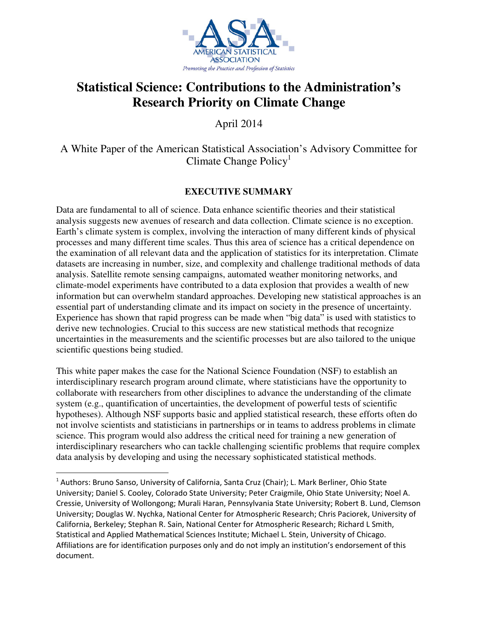

# **Statistical Science: Contributions to the Administration's Research Priority on Climate Change**

April 2014

A White Paper of the American Statistical Association's Advisory Committee for Climate Change Policy<sup>1</sup>

## **EXECUTIVE SUMMARY**

Data are fundamental to all of science. Data enhance scientific theories and their statistical analysis suggests new avenues of research and data collection. Climate science is no exception. Earth's climate system is complex, involving the interaction of many different kinds of physical processes and many different time scales. Thus this area of science has a critical dependence on the examination of all relevant data and the application of statistics for its interpretation. Climate datasets are increasing in number, size, and complexity and challenge traditional methods of data analysis. Satellite remote sensing campaigns, automated weather monitoring networks, and climate-model experiments have contributed to a data explosion that provides a wealth of new information but can overwhelm standard approaches. Developing new statistical approaches is an essential part of understanding climate and its impact on society in the presence of uncertainty. Experience has shown that rapid progress can be made when "big data" is used with statistics to derive new technologies. Crucial to this success are new statistical methods that recognize uncertainties in the measurements and the scientific processes but are also tailored to the unique scientific questions being studied.

This white paper makes the case for the National Science Foundation (NSF) to establish an interdisciplinary research program around climate, where statisticians have the opportunity to collaborate with researchers from other disciplines to advance the understanding of the climate system (e.g., quantification of uncertainties, the development of powerful tests of scientific hypotheses). Although NSF supports basic and applied statistical research, these efforts often do not involve scientists and statisticians in partnerships or in teams to address problems in climate science. This program would also address the critical need for training a new generation of interdisciplinary researchers who can tackle challenging scientific problems that require complex data analysis by developing and using the necessary sophisticated statistical methods.

 $\overline{\phantom{a}}$ 

<sup>&</sup>lt;sup>1</sup> Authors: Bruno Sanso, University of California, Santa Cruz (Chair); L. Mark Berliner, Ohio State University; Daniel S. Cooley, Colorado State University; Peter Craigmile, Ohio State University; Noel A. Cressie, University of Wollongong; Murali Haran, Pennsylvania State University; Robert B. Lund, Clemson University; Douglas W. Nychka, National Center for Atmospheric Research; Chris Paciorek, University of California, Berkeley; Stephan R. Sain, National Center for Atmospheric Research; Richard L Smith, Statistical and Applied Mathematical Sciences Institute; Michael L. Stein, University of Chicago. Affiliations are for identification purposes only and do not imply an institution's endorsement of this document.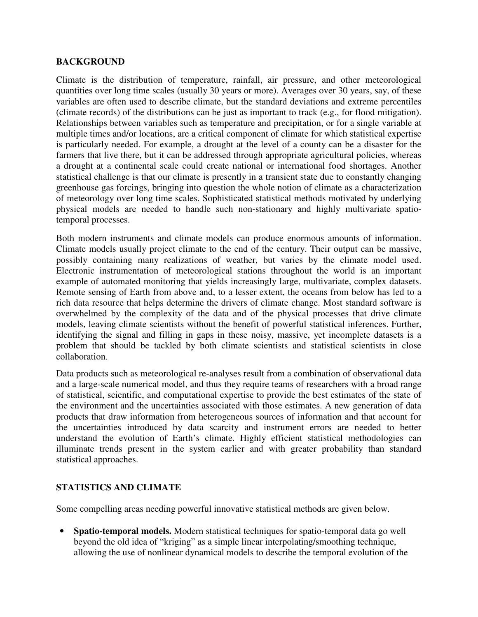#### **BACKGROUND**

Climate is the distribution of temperature, rainfall, air pressure, and other meteorological quantities over long time scales (usually 30 years or more). Averages over 30 years, say, of these variables are often used to describe climate, but the standard deviations and extreme percentiles (climate records) of the distributions can be just as important to track (e.g., for flood mitigation). Relationships between variables such as temperature and precipitation, or for a single variable at multiple times and/or locations, are a critical component of climate for which statistical expertise is particularly needed. For example, a drought at the level of a county can be a disaster for the farmers that live there, but it can be addressed through appropriate agricultural policies, whereas a drought at a continental scale could create national or international food shortages. Another statistical challenge is that our climate is presently in a transient state due to constantly changing greenhouse gas forcings, bringing into question the whole notion of climate as a characterization of meteorology over long time scales. Sophisticated statistical methods motivated by underlying physical models are needed to handle such non-stationary and highly multivariate spatiotemporal processes.

Both modern instruments and climate models can produce enormous amounts of information. Climate models usually project climate to the end of the century. Their output can be massive, possibly containing many realizations of weather, but varies by the climate model used. Electronic instrumentation of meteorological stations throughout the world is an important example of automated monitoring that yields increasingly large, multivariate, complex datasets. Remote sensing of Earth from above and, to a lesser extent, the oceans from below has led to a rich data resource that helps determine the drivers of climate change. Most standard software is overwhelmed by the complexity of the data and of the physical processes that drive climate models, leaving climate scientists without the benefit of powerful statistical inferences. Further, identifying the signal and filling in gaps in these noisy, massive, yet incomplete datasets is a problem that should be tackled by both climate scientists and statistical scientists in close collaboration.

Data products such as meteorological re-analyses result from a combination of observational data and a large-scale numerical model, and thus they require teams of researchers with a broad range of statistical, scientific, and computational expertise to provide the best estimates of the state of the environment and the uncertainties associated with those estimates. A new generation of data products that draw information from heterogeneous sources of information and that account for the uncertainties introduced by data scarcity and instrument errors are needed to better understand the evolution of Earth's climate. Highly efficient statistical methodologies can illuminate trends present in the system earlier and with greater probability than standard statistical approaches.

### **STATISTICS AND CLIMATE**

Some compelling areas needing powerful innovative statistical methods are given below.

• **Spatio-temporal models.** Modern statistical techniques for spatio-temporal data go well beyond the old idea of "kriging" as a simple linear interpolating/smoothing technique, allowing the use of nonlinear dynamical models to describe the temporal evolution of the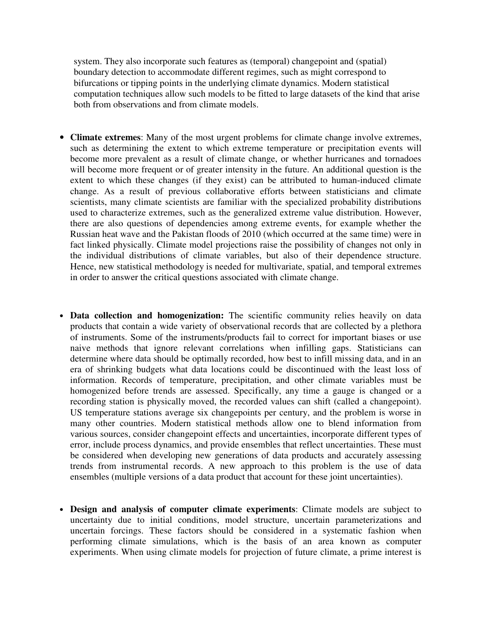system. They also incorporate such features as (temporal) changepoint and (spatial) boundary detection to accommodate different regimes, such as might correspond to bifurcations or tipping points in the underlying climate dynamics. Modern statistical computation techniques allow such models to be fitted to large datasets of the kind that arise both from observations and from climate models.

- **Climate extremes**: Many of the most urgent problems for climate change involve extremes, such as determining the extent to which extreme temperature or precipitation events will become more prevalent as a result of climate change, or whether hurricanes and tornadoes will become more frequent or of greater intensity in the future. An additional question is the extent to which these changes (if they exist) can be attributed to human-induced climate change. As a result of previous collaborative efforts between statisticians and climate scientists, many climate scientists are familiar with the specialized probability distributions used to characterize extremes, such as the generalized extreme value distribution. However, there are also questions of dependencies among extreme events, for example whether the Russian heat wave and the Pakistan floods of 2010 (which occurred at the same time) were in fact linked physically. Climate model projections raise the possibility of changes not only in the individual distributions of climate variables, but also of their dependence structure. Hence, new statistical methodology is needed for multivariate, spatial, and temporal extremes in order to answer the critical questions associated with climate change.
- **Data collection and homogenization:** The scientific community relies heavily on data products that contain a wide variety of observational records that are collected by a plethora of instruments. Some of the instruments/products fail to correct for important biases or use naive methods that ignore relevant correlations when infilling gaps. Statisticians can determine where data should be optimally recorded, how best to infill missing data, and in an era of shrinking budgets what data locations could be discontinued with the least loss of information. Records of temperature, precipitation, and other climate variables must be homogenized before trends are assessed. Specifically, any time a gauge is changed or a recording station is physically moved, the recorded values can shift (called a changepoint). US temperature stations average six changepoints per century, and the problem is worse in many other countries. Modern statistical methods allow one to blend information from various sources, consider changepoint effects and uncertainties, incorporate different types of error, include process dynamics, and provide ensembles that reflect uncertainties. These must be considered when developing new generations of data products and accurately assessing trends from instrumental records. A new approach to this problem is the use of data ensembles (multiple versions of a data product that account for these joint uncertainties).
- **Design and analysis of computer climate experiments**: Climate models are subject to uncertainty due to initial conditions, model structure, uncertain parameterizations and uncertain forcings. These factors should be considered in a systematic fashion when performing climate simulations, which is the basis of an area known as computer experiments. When using climate models for projection of future climate, a prime interest is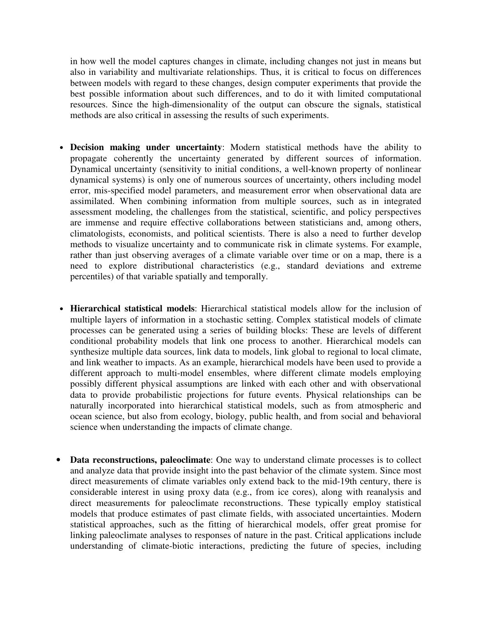in how well the model captures changes in climate, including changes not just in means but also in variability and multivariate relationships. Thus, it is critical to focus on differences between models with regard to these changes, design computer experiments that provide the best possible information about such differences, and to do it with limited computational resources. Since the high-dimensionality of the output can obscure the signals, statistical methods are also critical in assessing the results of such experiments.

- **Decision making under uncertainty**: Modern statistical methods have the ability to propagate coherently the uncertainty generated by different sources of information. Dynamical uncertainty (sensitivity to initial conditions, a well-known property of nonlinear dynamical systems) is only one of numerous sources of uncertainty, others including model error, mis-specified model parameters, and measurement error when observational data are assimilated. When combining information from multiple sources, such as in integrated assessment modeling, the challenges from the statistical, scientific, and policy perspectives are immense and require effective collaborations between statisticians and, among others, climatologists, economists, and political scientists. There is also a need to further develop methods to visualize uncertainty and to communicate risk in climate systems. For example, rather than just observing averages of a climate variable over time or on a map, there is a need to explore distributional characteristics (e.g., standard deviations and extreme percentiles) of that variable spatially and temporally.
- **Hierarchical statistical models**: Hierarchical statistical models allow for the inclusion of multiple layers of information in a stochastic setting. Complex statistical models of climate processes can be generated using a series of building blocks: These are levels of different conditional probability models that link one process to another. Hierarchical models can synthesize multiple data sources, link data to models, link global to regional to local climate, and link weather to impacts. As an example, hierarchical models have been used to provide a different approach to multi-model ensembles, where different climate models employing possibly different physical assumptions are linked with each other and with observational data to provide probabilistic projections for future events. Physical relationships can be naturally incorporated into hierarchical statistical models, such as from atmospheric and ocean science, but also from ecology, biology, public health, and from social and behavioral science when understanding the impacts of climate change.
- **Data reconstructions, paleoclimate**: One way to understand climate processes is to collect and analyze data that provide insight into the past behavior of the climate system. Since most direct measurements of climate variables only extend back to the mid-19th century, there is considerable interest in using proxy data (e.g., from ice cores), along with reanalysis and direct measurements for paleoclimate reconstructions. These typically employ statistical models that produce estimates of past climate fields, with associated uncertainties. Modern statistical approaches, such as the fitting of hierarchical models, offer great promise for linking paleoclimate analyses to responses of nature in the past. Critical applications include understanding of climate-biotic interactions, predicting the future of species, including